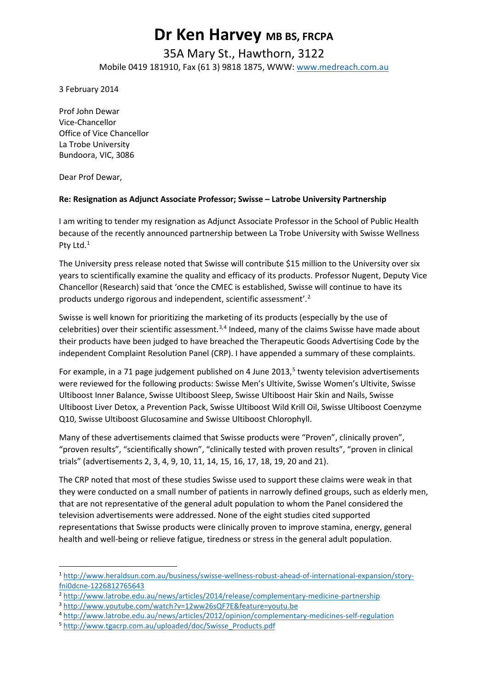### **Dr Ken Harvey MB BS, FRCPA**

#### 35A Mary St., Hawthorn, 3122 Mobile 0419 181910, Fax (61 3) 9818 1875, WWW: [www.medreach.com.au](http://www.medreach.com.au/)

3 February 2014

Prof John Dewar Vice-Chancellor Office of Vice Chancellor La Trobe University Bundoora, VIC, 3086

Dear Prof Dewar,

 $\overline{a}$ 

#### **Re: Resignation as Adjunct Associate Professor; Swisse – Latrobe University Partnership**

I am writing to tender my resignation as Adjunct Associate Professor in the School of Public Health because of the recently announced partnership between La Trobe University with Swisse Wellness Pty Ltd.<sup>[1](#page-0-0)</sup>

The University press release noted that Swisse will contribute \$15 million to the University over six years to scientifically examine the quality and efficacy of its products. Professor Nugent, Deputy Vice Chancellor (Research) said that 'once the CMEC is established, Swisse will continue to have its products undergo rigorous and independent, scientific assessment'.<sup>[2](#page-0-1)</sup>

Swisse is well known for prioritizing the marketing of its products (especially by the use of celebrities) over their scientific assessment.<sup>[3,](#page-0-2)[4](#page-0-3)</sup> Indeed, many of the claims Swisse have made about their products have been judged to have breached the Therapeutic Goods Advertising Code by the independent Complaint Resolution Panel (CRP). I have appended a summary of these complaints.

For example, in a [71 page judgement](http://www.tgacrp.com.au/uploaded/doc/Swisse_Products.pdf) published on 4 June 2013,<sup>[5](#page-0-4)</sup> twenty television advertisements were reviewed for the following products: Swisse Men's Ultivite, Swisse Women's Ultivite, Swisse Ultiboost Inner Balance, Swisse Ultiboost Sleep, Swisse Ultiboost Hair Skin and Nails, Swisse Ultiboost Liver Detox, a Prevention Pack, Swisse Ultiboost Wild Krill Oil, Swisse Ultiboost Coenzyme Q10, Swisse Ultiboost Glucosamine and Swisse Ultiboost Chlorophyll.

Many of these advertisements claimed that Swisse products were "Proven", clinically proven", "proven results", "scientifically shown", "clinically tested with proven results", "proven in clinical trials" (advertisements 2, 3, 4, 9, 10, 11, 14, 15, 16, 17, 18, 19, 20 and 21).

The CRP noted that most of these studies Swisse used to support these claims were weak in that they were conducted on a small number of patients in narrowly defined groups, such as elderly men, that are not representative of the general adult population to whom the Panel considered the television advertisements were addressed. None of the eight studies cited supported representations that Swisse products were clinically proven to improve stamina, energy, general health and well-being or relieve fatigue, tiredness or stress in the general adult population.

<span id="page-0-0"></span><sup>1</sup> [http://www.heraldsun.com.au/business/swisse-wellness-robust-ahead-of-international-expansion/story](http://www.heraldsun.com.au/business/swisse-wellness-robust-ahead-of-international-expansion/story-fni0dcne-1226812765643)[fni0dcne-1226812765643](http://www.heraldsun.com.au/business/swisse-wellness-robust-ahead-of-international-expansion/story-fni0dcne-1226812765643)

<span id="page-0-1"></span><sup>2</sup> <http://www.latrobe.edu.au/news/articles/2014/release/complementary-medicine-partnership>

<span id="page-0-2"></span><sup>3</sup> <http://www.youtube.com/watch?v=12ww26sQF7E&feature=youtu.be>

<span id="page-0-3"></span><sup>4</sup> <http://www.latrobe.edu.au/news/articles/2012/opinion/complementary-medicines-self-regulation>

<span id="page-0-4"></span><sup>5</sup> [http://www.tgacrp.com.au/uploaded/doc/Swisse\\_Products.pdf](http://www.tgacrp.com.au/uploaded/doc/Swisse_Products.pdf)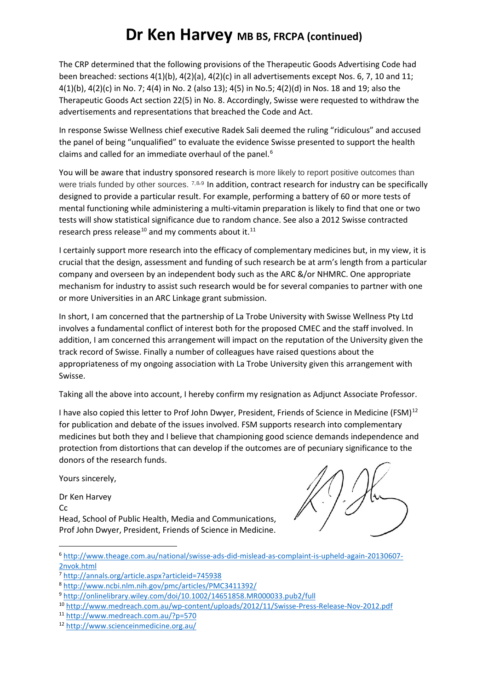The CRP determined that the following provisions of the Therapeutic Goods Advertising Code had been breached: sections 4(1)(b), 4(2)(a), 4(2)(c) in all advertisements except Nos. 6, 7, 10 and 11; 4(1)(b), 4(2)(c) in No. 7; 4(4) in No. 2 (also 13); 4(5) in No.5; 4(2)(d) in Nos. 18 and 19; also the Therapeutic Goods Act section 22(5) in No. 8. Accordingly, Swisse were requested to withdraw the advertisements and representations that breached the Code and Act.

In [response S](http://www.theage.com.au/national/swisse-ads-did-mislead-as-complaint-is-upheld-again-20130607-2nvok.html)wisse Wellness chief executive Radek Sali deemed the ruling "ridiculous" and accused the panel of being "unqualified" to evaluate the evidence Swisse presented to support the health claims and called for an immediate overhaul of the panel.<sup>[6](#page-1-0)</sup>

You will be aware that industry sponsored research is more likely to report positive outcomes than were trials funded by other sources. [7](#page-1-1),[8](#page-1-2),[9](#page-1-3) In addition, contract research for industry can be specifically designed to provide a particular result. For example, performing a battery of 60 or more tests of mental functioning while administering a multi-vitamin preparation is likely to find that one or two tests will show statistical significance due to random chance. See also a 2012 Swisse contracted research press release<sup>[10](#page-1-4)</sup> and my comments about it.<sup>[11](#page-1-5)</sup>

I certainly support more research into the efficacy of complementary medicines but, in my view, it is crucial that the design, assessment and funding of such research be at arm's length from a particular company and overseen by an independent body such as the ARC &/or NHMRC. One appropriate mechanism for industry to assist such research would be for several companies to partner with one or more Universities in an ARC Linkage grant submission.

In short, I am concerned that the partnership of La Trobe University with Swisse Wellness Pty Ltd involves a fundamental conflict of interest both for the proposed CMEC and the staff involved. In addition, I am concerned this arrangement will impact on the reputation of the University given the track record of Swisse. Finally a number of colleagues have raised questions about the appropriateness of my ongoing association with La Trobe University given this arrangement with Swisse.

Taking all the above into account, I hereby confirm my resignation as Adjunct Associate Professor.

I have also copied this letter to Prof John Dwyer, President, Friends of Science in Medicine (FSM) $^{12}$  $^{12}$  $^{12}$ for publication and debate of the issues involved. FSM supports research into complementary medicines but both they and I believe that championing good science demands independence and protection from distortions that can develop if the outcomes are of pecuniary significance to the donors of the research funds.

Yours sincerely,

<u>.</u>

Dr Ken Harvey Cc Head, School of Public Health, Media and Communications, Prof John Dwyer, President, Friends of Science in Medicine.



<span id="page-1-0"></span><sup>6</sup> [http://www.theage.com.au/national/swisse-ads-did-mislead-as-complaint-is-upheld-again-20130607-](http://www.theage.com.au/national/swisse-ads-did-mislead-as-complaint-is-upheld-again-20130607-2nvok.html) [2nvok.html](http://www.theage.com.au/national/swisse-ads-did-mislead-as-complaint-is-upheld-again-20130607-2nvok.html)

<span id="page-1-1"></span><sup>7</sup> <http://annals.org/article.aspx?articleid=745938>

<span id="page-1-2"></span><sup>8</sup> <http://www.ncbi.nlm.nih.gov/pmc/articles/PMC3411392/>

<span id="page-1-3"></span><sup>9</sup> <http://onlinelibrary.wiley.com/doi/10.1002/14651858.MR000033.pub2/full>

<span id="page-1-4"></span><sup>10</sup> <http://www.medreach.com.au/wp-content/uploads/2012/11/Swisse-Press-Release-Nov-2012.pdf>

<span id="page-1-5"></span><sup>11</sup> <http://www.medreach.com.au/?p=570>

<span id="page-1-6"></span><sup>12</sup> <http://www.scienceinmedicine.org.au/>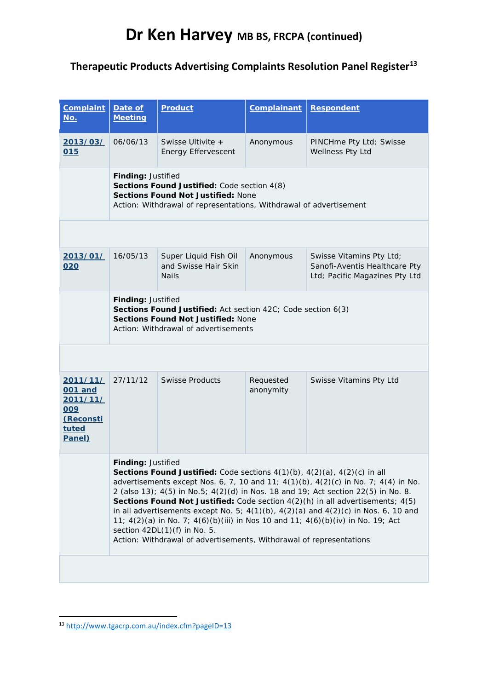#### **Therapeutic Products Advertising Complaints Resolution Panel Register[13](#page-2-0)**

| <b>Complaint</b><br>No.                                                | Date of<br><b>Meeting</b>                                                                                                                                                                                                                                                                                                                                                                                                                                                                                                                                                                                                                                                                 | <b>Product</b>                                                | <b>Complainant</b>     | <b>Respondent</b>                                                                           |  |  |  |
|------------------------------------------------------------------------|-------------------------------------------------------------------------------------------------------------------------------------------------------------------------------------------------------------------------------------------------------------------------------------------------------------------------------------------------------------------------------------------------------------------------------------------------------------------------------------------------------------------------------------------------------------------------------------------------------------------------------------------------------------------------------------------|---------------------------------------------------------------|------------------------|---------------------------------------------------------------------------------------------|--|--|--|
| 2013/03/<br>015                                                        | 06/06/13                                                                                                                                                                                                                                                                                                                                                                                                                                                                                                                                                                                                                                                                                  | Swisse Ultivite +<br><b>Energy Effervescent</b>               | Anonymous              | PINCHme Pty Ltd; Swisse<br>Wellness Pty Ltd                                                 |  |  |  |
|                                                                        | Finding: Justified<br>Sections Found Justified: Code section 4(8)<br><b>Sections Found Not Justified: None</b><br>Action: Withdrawal of representations, Withdrawal of advertisement                                                                                                                                                                                                                                                                                                                                                                                                                                                                                                      |                                                               |                        |                                                                                             |  |  |  |
|                                                                        |                                                                                                                                                                                                                                                                                                                                                                                                                                                                                                                                                                                                                                                                                           |                                                               |                        |                                                                                             |  |  |  |
| 2013/01/<br>020                                                        | 16/05/13                                                                                                                                                                                                                                                                                                                                                                                                                                                                                                                                                                                                                                                                                  | Super Liquid Fish Oil<br>and Swisse Hair Skin<br><b>Nails</b> | Anonymous              | Swisse Vitamins Pty Ltd;<br>Sanofi-Aventis Healthcare Pty<br>Ltd; Pacific Magazines Pty Ltd |  |  |  |
|                                                                        | Finding: Justified<br>Sections Found Justified: Act section 42C; Code section 6(3)<br><b>Sections Found Not Justified: None</b><br>Action: Withdrawal of advertisements                                                                                                                                                                                                                                                                                                                                                                                                                                                                                                                   |                                                               |                        |                                                                                             |  |  |  |
|                                                                        |                                                                                                                                                                                                                                                                                                                                                                                                                                                                                                                                                                                                                                                                                           |                                                               |                        |                                                                                             |  |  |  |
| 2011/11/<br>001 and<br>2011/11/<br>009<br>(Reconsti<br>tuted<br>Panel) | 27/11/12                                                                                                                                                                                                                                                                                                                                                                                                                                                                                                                                                                                                                                                                                  | <b>Swisse Products</b>                                        | Requested<br>anonymity | Swisse Vitamins Pty Ltd                                                                     |  |  |  |
|                                                                        | <b>Findina:</b> Justified<br>Sections Found Justified: Code sections $4(1)(b)$ , $4(2)(a)$ , $4(2)(c)$ in all<br>advertisements except Nos. 6, 7, 10 and 11; 4(1)(b), 4(2)(c) in No. 7; 4(4) in No.<br>2 (also 13); $4(5)$ in No. 5; $4(2)(d)$ in Nos. 18 and 19; Act section 22(5) in No. 8.<br><b>Sections Found Not Justified:</b> Code section $4(2)(h)$ in all advertisements; $4(5)$<br>in all advertisements except No. 5; $4(1)(b)$ , $4(2)(a)$ and $4(2)(c)$ in Nos. 6, 10 and<br>11; $4(2)(a)$ in No. 7; $4(6)(b)(iii)$ in Nos 10 and 11; $4(6)(b)(iv)$ in No. 19; Act<br>section $42DL(1)(f)$ in No. 5.<br>Action: Withdrawal of advertisements, Withdrawal of representations |                                                               |                        |                                                                                             |  |  |  |
|                                                                        |                                                                                                                                                                                                                                                                                                                                                                                                                                                                                                                                                                                                                                                                                           |                                                               |                        |                                                                                             |  |  |  |

<u>.</u>

<span id="page-2-0"></span><sup>13</sup> <http://www.tgacrp.com.au/index.cfm?pageID=13>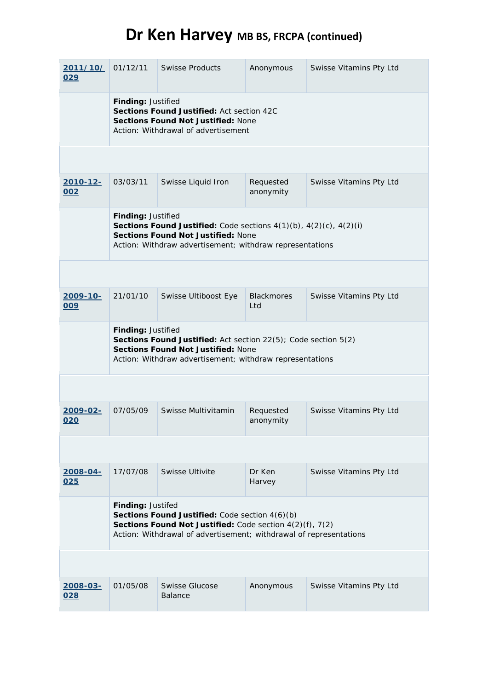| 2011/10/<br>029         | 01/12/11                                                                                                                                                                                                 | <b>Swisse Products</b>           | Anonymous                | Swisse Vitamins Pty Ltd |  |  |  |
|-------------------------|----------------------------------------------------------------------------------------------------------------------------------------------------------------------------------------------------------|----------------------------------|--------------------------|-------------------------|--|--|--|
|                         | Finding: Justified<br>Sections Found Justified: Act section 42C<br><b>Sections Found Not Justified: None</b><br>Action: Withdrawal of advertisement                                                      |                                  |                          |                         |  |  |  |
|                         |                                                                                                                                                                                                          |                                  |                          |                         |  |  |  |
| 2010-12-<br>002         | 03/03/11                                                                                                                                                                                                 | Swisse Liquid Iron               | Requested<br>anonymity   | Swisse Vitamins Pty Ltd |  |  |  |
|                         | Finding: Justified<br>Sections Found Justified: Code sections $4(1)(b)$ , $4(2)(c)$ , $4(2)(i)$<br><b>Sections Found Not Justified: None</b><br>Action: Withdraw advertisement; withdraw representations |                                  |                          |                         |  |  |  |
|                         |                                                                                                                                                                                                          |                                  |                          |                         |  |  |  |
| 2009-10-<br>009         | 21/01/10                                                                                                                                                                                                 | Swisse Ultiboost Eye             | <b>Blackmores</b><br>Ltd | Swisse Vitamins Pty Ltd |  |  |  |
|                         | Finding: Justified<br>Sections Found Justified: Act section 22(5); Code section 5(2)<br><b>Sections Found Not Justified: None</b><br>Action: Withdraw advertisement; withdraw representations            |                                  |                          |                         |  |  |  |
|                         |                                                                                                                                                                                                          |                                  |                          |                         |  |  |  |
| 2009-02-<br>020         | 07/05/09                                                                                                                                                                                                 | Swisse Multivitamin              | Requested<br>anonymity   | Swisse Vitamins Pty Ltd |  |  |  |
|                         |                                                                                                                                                                                                          |                                  |                          |                         |  |  |  |
| <u> 2008-04-</u><br>025 | 17/07/08                                                                                                                                                                                                 | Swisse Ultivite                  | Dr Ken<br>Harvey         | Swisse Vitamins Pty Ltd |  |  |  |
|                         | Finding: Justifed<br>Sections Found Justified: Code section 4(6)(b)<br>Sections Found Not Justified: Code section 4(2)(f), 7(2)<br>Action: Withdrawal of advertisement; withdrawal of representations    |                                  |                          |                         |  |  |  |
|                         |                                                                                                                                                                                                          |                                  |                          |                         |  |  |  |
| <u> 2008-03-</u><br>028 | 01/05/08                                                                                                                                                                                                 | Swisse Glucose<br><b>Balance</b> | Anonymous                | Swisse Vitamins Pty Ltd |  |  |  |